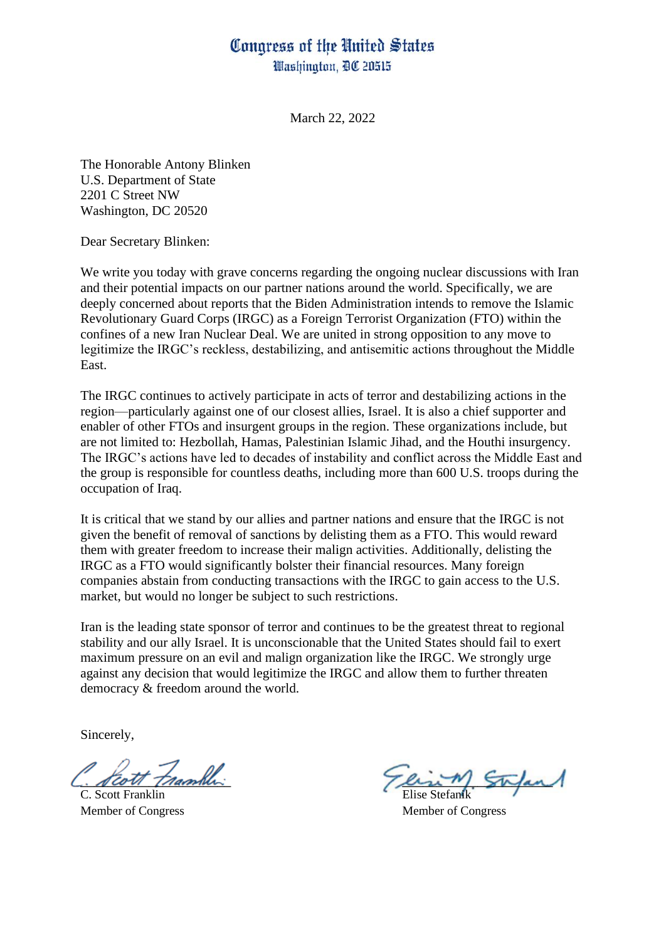## Congress of the United States Washington, DC 20515

March 22, 2022

The Honorable Antony Blinken U.S. Department of State 2201 C Street NW Washington, DC 20520

Dear Secretary Blinken:

We write you today with grave concerns regarding the ongoing nuclear discussions with Iran and their potential impacts on our partner nations around the world. Specifically, we are deeply concerned about reports that the Biden Administration intends to remove the Islamic Revolutionary Guard Corps (IRGC) as a Foreign Terrorist Organization (FTO) within the confines of a new Iran Nuclear Deal. We are united in strong opposition to any move to legitimize the IRGC's reckless, destabilizing, and antisemitic actions throughout the Middle East.

The IRGC continues to actively participate in acts of terror and destabilizing actions in the region—particularly against one of our closest allies, Israel. It is also a chief supporter and enabler of other FTOs and insurgent groups in the region. These organizations include, but are not limited to: Hezbollah, Hamas, Palestinian Islamic Jihad, and the Houthi insurgency. The IRGC's actions have led to decades of instability and conflict across the Middle East and the group is responsible for countless deaths, including more than 600 U.S. troops during the occupation of Iraq.

It is critical that we stand by our allies and partner nations and ensure that the IRGC is not given the benefit of removal of sanctions by delisting them as a FTO. This would reward them with greater freedom to increase their malign activities. Additionally, delisting the IRGC as a FTO would significantly bolster their financial resources. Many foreign companies abstain from conducting transactions with the IRGC to gain access to the U.S. market, but would no longer be subject to such restrictions.

Iran is the leading state sponsor of terror and continues to be the greatest threat to regional stability and our ally Israel. It is unconscionable that the United States should fail to exert maximum pressure on an evil and malign organization like the IRGC. We strongly urge against any decision that would legitimize the IRGC and allow them to further threaten democracy & freedom around the world.

Sincerely,

C. Scott Franklin Member of Congress Member of Congress

Feott trambles and the trans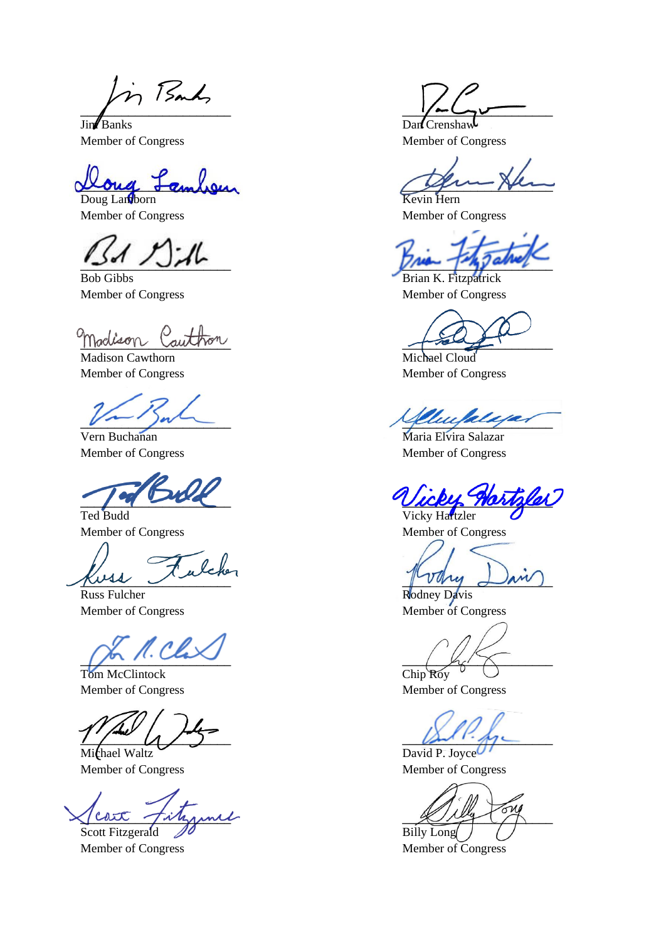in Bank

Jim Banks Dan Crenshaw Member of Congress Member of Congress

 $L$ ambsur

Doug Lamborn Kevin Hern Member of Congress Member of Congress

Bob Gibbs Brian K. Fitzpatrick

madison Cauthon

Madison Cawthorn Michael Cloud Member of Congress Member of Congress

Vern Buchanan Maria Elvira Salazar

Ted Budd Vicky Hartzler

 $mu_j \cup m_j$ 

Russ Fulcher Rodney Davis

 $\mu \sim \mu$ 

Tom McClintock Chip Roy

 $\mathcal{L} \setminus \mathcal{L}$ 

Michael Waltz David P. Joyce Member of Congress Member of Congress

 $\chi$  and  $\chi$  and  $\chi$ Scott Fitzgerald  $\mathscr{D}$  Billy Long

 $\frac{1}{2}$   $\frac{1}{2}$   $\frac{1}{2}$   $\frac{1}{2}$   $\frac{1}{2}$   $\frac{1}{2}$   $\frac{1}{2}$   $\frac{1}{2}$   $\frac{1}{2}$   $\frac{1}{2}$   $\frac{1}{2}$   $\frac{1}{2}$   $\frac{1}{2}$   $\frac{1}{2}$   $\frac{1}{2}$   $\frac{1}{2}$   $\frac{1}{2}$   $\frac{1}{2}$   $\frac{1}{2}$   $\frac{1}{2}$   $\frac{1}{2}$   $\frac{1}{2}$ 

 $\frac{1}{2}$ 

Member of Congress Member of Congress

uukun

Member of Congress Member of Congress

Wickly Maringlet

Member of Congress Member of Congress

Member of Congress Member of Congress

Member of Congress Member of Congress

Member of Congress Member of Congress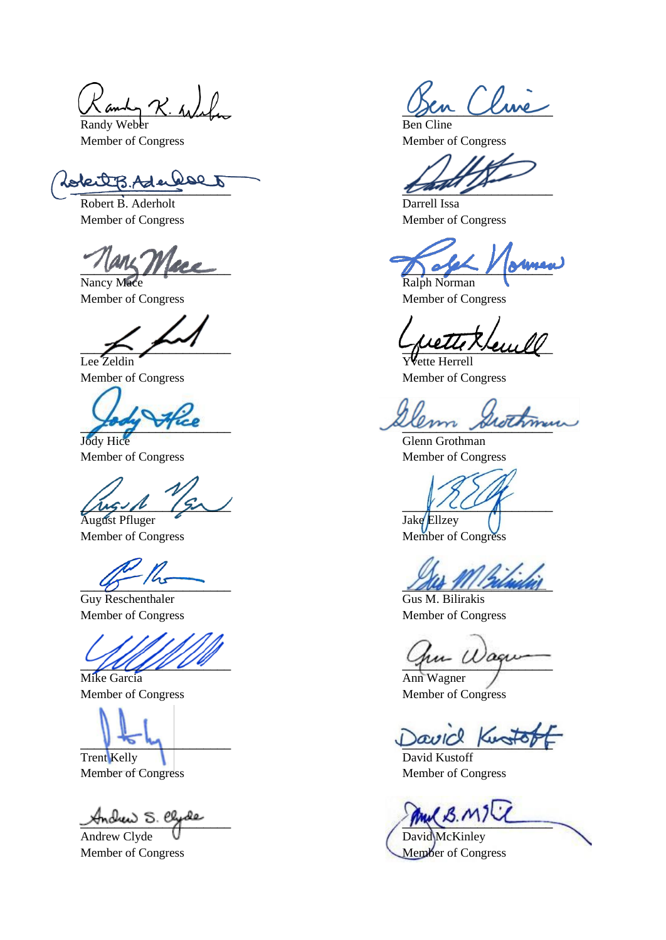Randy Weber Ben Cline Member of Congress Member of Congress

Robert B. Aderholt Darrell Issa

Nancy Mace Ralph Norman Member of Congress Member of Congress

Lee Zeldin Yvette Herrell

Member of Congress Member of Congress

 $\mu$ 

August Pfluger Take Ellzey

Guy Reschenthaler Gus M. Bilirakis

Mike Garcia **Ann Wagner** 

Member of Congress Member of Congress

Trent Kelly David Kustoff Member of Congress Member of Congress

and R. Wale

 $\frac{1}{\sqrt{2}}$ 

Member of Congress Member of Congress

 $\int \frac{\partial f}{\partial x} = \int \frac{\partial f}{\partial y}$ 

\_\_\_\_\_\_\_\_\_\_\_\_\_\_\_\_\_\_\_\_\_\_ \_\_\_\_\_\_\_\_\_\_\_\_\_\_\_\_\_\_\_\_\_\_

Member of Congress Member of Congress

processor and the processor

Jody Hice Glenn Grothman

Member of Congress Member of Congress

 $\mathscr{A}$ 

Member of Congress Member of Congress

 $\mathcal{W}$ 

avice Kusto

Andrew S. elyde<br>Andrew Clyde Company (B. M) David McKinley

Member of Congress Member of Congress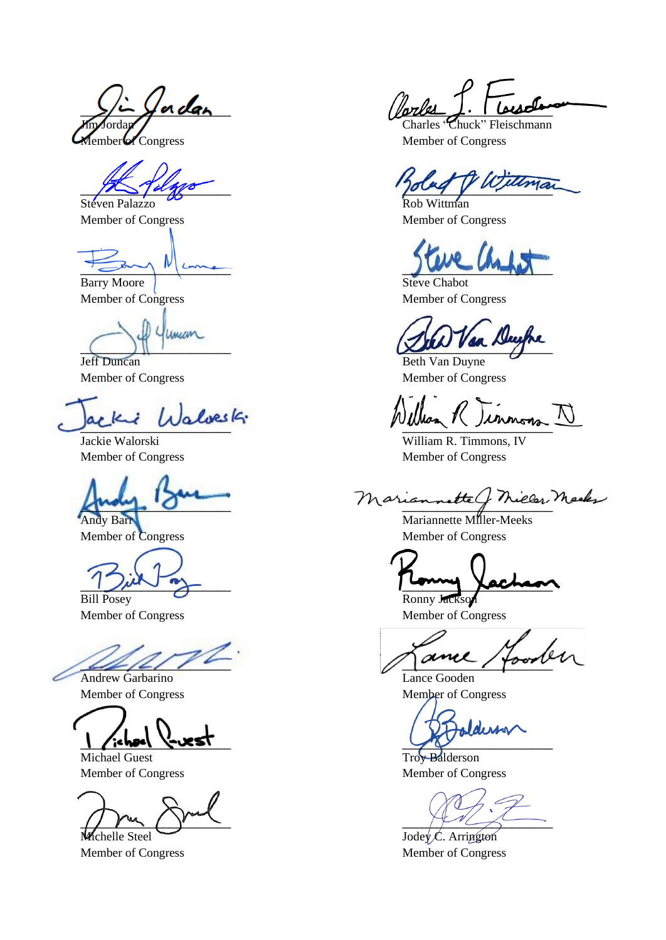$\frac{1}{\sqrt{2}}$   $\frac{1}{\sqrt{2}}$  order  $\frac{1}{\sqrt{2}}$ Member of Congress Member of Congress

 $\frac{1}{\sqrt{2}}$ Steven Palazzo CO Rob Wittman

\_\_\_\_\_\_\_\_\_\_\_\_\_\_\_\_\_\_\_\_\_\_ \_\_\_\_\_\_\_\_\_\_\_\_\_\_\_\_\_\_\_\_\_\_

Barry Moore

 $\frac{1}{\sqrt{100}}$  Term and  $\frac{1}{\sqrt{100}}$  Term  $\frac{1}{\sqrt{100}}$ uncan

Member of Congress Member of Congress

Bill Posey Charles Ronny Jackson

Andrew Garbarino Lance Gooden

 $\frac{1}{2}$  is here  $\frac{1}{2}$  is here  $\frac{1}{2}$ 

Michael Guest Troy Balderson Member of Congress Member of Congress Member of Congress

 $\frac{1}{2}$  $M$ chelle Steel Jodey C. Arrington

Charles "Chuck" Fleischmann

Member of Congress Member of Congress

Member of Congress Member of Congress

Beth Van Duyne Member of Congress Member of Congress

\_\_\_\_\_\_\_\_\_\_\_\_\_\_\_\_\_\_\_\_\_\_ \_\_\_\_\_\_\_\_\_\_\_\_\_\_\_\_\_\_\_\_\_\_

Jackie Walorski William R. Timmons, IV Member of Congress Member of Congress

Mariannette G Mieler Mecke

Mariannette Miller-Meeks

 $\frac{1}{2}$  and  $\frac{1}{2}$ 

Member of Congress Member of Congress

 $\mathbb{Z}/\mathbb{Z}/\mathbb{Z}/\mathbb{Z}$ 

Member of Congress Member of Congress

dersa

Member of Congress Member of Congress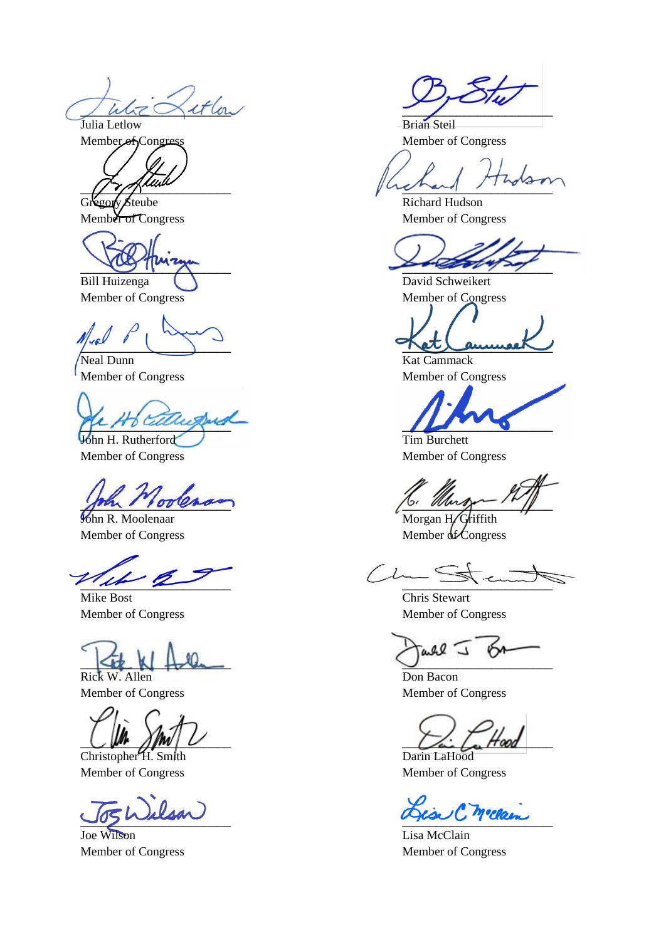$L_z \gtrsim$  it low Julia Letlow Brian Steil

Bill Huizenga () David Schweikert

Neal Dunn Kat Cammack

 $\mu$   $\mu$   $\sigma$   $\alpha$   $\alpha$   $\alpha$   $\alpha$ **John H. Rutherford** Tim Burchett

 $\frac{1}{2}$ 

Mike Bost Chris Stewart Member of Congress Member of Congress

 $\leq t$ Rick W. Allen Don Bacon

Christopher H. Smith Darin LaHood Member of Congress Member of Congress

Joe Wilson Lisa McClain

Member of Congress Member of Congress

 $\int$ 

Gregory Steube Richard Hudson Member of Congress Member of Congress

 $\frac{1}{2}$ 

Member of Congress Member of Congress

pose in the method method in the second service of the second service of the second service of the second service of the second service of the service of the service of the service of the service of the service of the serv

Member of Congress Member of Congress

Member of Congress Member of Congress

 $\frac{1}{2}$  of  $\frac{1}{2}$ 

John R. Moolenaar Morgan H. Griffith Member of Congress Member of Congress Member of Congress

all I ۴м

Member of Congress Member of Congress

 $\bigcup_{i=1}^m$   $\bigcap_{i=1}^m$   $\bigcup_{i=1}^m$   $\bigcap_{i=1}^m$   $\bigcap_{i=1}^m$   $\bigcap_{i=1}^m$   $\bigcap_{i=1}^m$   $\bigcap_{i=1}^m$ 

To Wilson

Member of Congress Member of Congress